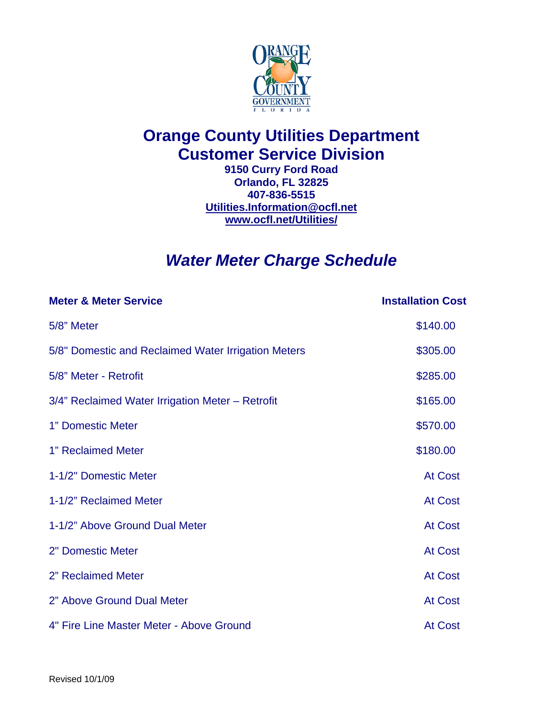

## **Orange County Utilities Department Customer Service Division**

**9150 Curry Ford Road Orlando, FL 32825 407-836-5515 [Utilities.Information@ocfl.net](mailto:Utilities.Information@ocfl.net)  [www.ocfl.net/Utilities/](http://www.ocfl.net/Utilities/)** 

## *Water Meter Charge Schedule*

| <b>Meter &amp; Meter Service</b>                    | <b>Installation Cost</b> |
|-----------------------------------------------------|--------------------------|
| 5/8" Meter                                          | \$140.00                 |
| 5/8" Domestic and Reclaimed Water Irrigation Meters | \$305.00                 |
| 5/8" Meter - Retrofit                               | \$285.00                 |
| 3/4" Reclaimed Water Irrigation Meter - Retrofit    | \$165.00                 |
| 1" Domestic Meter                                   | \$570.00                 |
| 1" Reclaimed Meter                                  | \$180.00                 |
| 1-1/2" Domestic Meter                               | <b>At Cost</b>           |
| 1-1/2" Reclaimed Meter                              | <b>At Cost</b>           |
| 1-1/2" Above Ground Dual Meter                      | <b>At Cost</b>           |
| 2" Domestic Meter                                   | <b>At Cost</b>           |
| 2" Reclaimed Meter                                  | <b>At Cost</b>           |
| 2" Above Ground Dual Meter                          | <b>At Cost</b>           |
| 4" Fire Line Master Meter - Above Ground            | <b>At Cost</b>           |